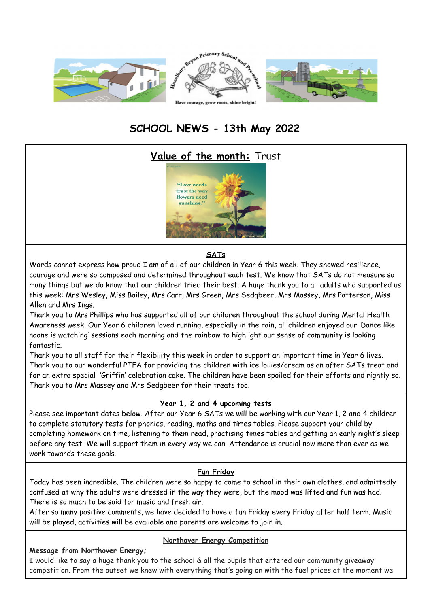

# **SCHOOL NEWS - 13th May 2022**

# **Value of the month:** Trust



#### **SATs**

Words cannot express how proud I am of all of our children in Year 6 this week. They showed resilience, courage and were so composed and determined throughout each test. We know that SATs do not measure so many things but we do know that our children tried their best. A huge thank you to all adults who supported us this week: Mrs Wesley, Miss Bailey, Mrs Carr, Mrs Green, Mrs Sedgbeer, Mrs Massey, Mrs Patterson, Miss Allen and Mrs Ings.

Thank you to Mrs Phillips who has supported all of our children throughout the school during Mental Health Awareness week. Our Year 6 children loved running, especially in the rain, all children enjoyed our 'Dance like noone is watching' sessions each morning and the rainbow to highlight our sense of community is looking fantastic.

Thank you to all staff for their flexibility this week in order to support an important time in Year 6 lives. Thank you to our wonderful PTFA for providing the children with ice lollies/cream as an after SATs treat and for an extra special 'Griffin' celebration cake. The children have been spoiled for their efforts and rightly so. Thank you to Mrs Massey and Mrs Sedgbeer for their treats too.

## **Year 1, 2 and 4 upcoming tests**

Please see important dates below. After our Year 6 SATs we will be working with our Year 1, 2 and 4 children to complete statutory tests for phonics, reading, maths and times tables. Please support your child by completing homework on time, listening to them read, practising times tables and getting an early night's sleep before any test. We will support them in every way we can. Attendance is crucial now more than ever as we work towards these goals.

#### **Fun Friday**

Today has been incredible. The children were so happy to come to school in their own clothes, and admittedly confused at why the adults were dressed in the way they were, but the mood was lifted and fun was had. There is so much to be said for music and fresh air.

After so many positive comments, we have decided to have a fun Friday every Friday after half term. Music will be played, activities will be available and parents are welcome to join in.

#### **Message from Northover Energy;**

#### **Northover Energy Competition**

I would like to say a huge thank you to the school & all the pupils that entered our community giveaway competition. From the outset we knew with everything that's going on with the fuel prices at the moment we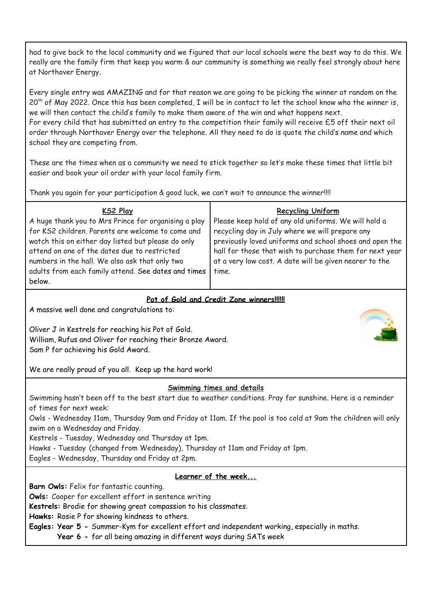had to give back to the local community and we figured that our local schools were the best way to do this. We really are the family firm that keep you warm & our community is something we really feel strongly about here at Northover Energy.

Every single entry was AMAZING and for that reason we are going to be picking the winner at random on the  $20^{\text{th}}$  of May 2022. Once this has been completed, I will be in contact to let the school know who the winner is, we will then contact the child's family to make them aware of the win and what happens next. For every child that has submitted an entry to the competition their family will receive £5 off their next oil order through Northover Energy over the telephone. All they need to do is quote the child's name and which school they are competing from.

These are the times when as a community we need to stick together so let's make these times that little bit easier and book your oil order with your local family firm.

Thank you again for your participation & good luck, we can't wait to announce the winner!!!!

| <b>KS2 Play</b>                                                                                                                                                                                                                                                                                                                    | <b>Recycling Uniform</b>                                                                                                                                                                                                                                                                         |
|------------------------------------------------------------------------------------------------------------------------------------------------------------------------------------------------------------------------------------------------------------------------------------------------------------------------------------|--------------------------------------------------------------------------------------------------------------------------------------------------------------------------------------------------------------------------------------------------------------------------------------------------|
| A huge thank you to Mrs Prince for organising a play<br>for KS2 children. Parents are welcome to come and<br>watch this on either day listed but please do only<br>attend on one of the dates due to restricted<br>numbers in the hall. We also ask that only two<br>adults from each family attend. See dates and times<br>below. | Please keep hold of any old uniforms. We will hold a<br>recycling day in July where we will prepare any<br>previously loved uniforms and school shoes and open the<br>hall for those that wish to purchase them for next year<br>at a very low cost. A date will be given nearer to the<br>time. |

#### **Pot of Gold and Credit Zone winners!!!!!!**

A massive well done and congratulations to:

Oliver J in Kestrels for reaching his Pot of Gold. William, Rufus and Oliver for reaching their Bronze Award. Sam P for achieving his Gold Award.



We are really proud of you all. Keep up the hard work!

#### **Swimming times and details**

Swimming hasn't been off to the best start due to weather conditions. Pray for sunshine. Here is a reminder of times for next week:

Owls - Wednesday 11am, Thursday 9am and Friday at 11am. If the pool is too cold at 9am the children will only swim on a Wednesday and Friday.

Kestrels - Tuesday, Wednesday and Thursday at 1pm.

Hawks - Tuesday (changed from Wednesday), Thursday at 11am and Friday at 1pm.

Eagles - Wednesday, Thursday and Friday at 2pm.

## **Learner of the week...**

**Barn Owls:** Felix for fantastic counting.

**Owls:** Cooper for excellent effort in sentence writing

**Kestrels:** Brodie for showing great compassion to his classmates.

**Hawks:** Rosie P for showing kindness to others.

**Eagles: Year 5 -** Summer-Kym for excellent effort and independent working, especially in maths.

**Year 6 -** for all being amazing in different ways during SATs week